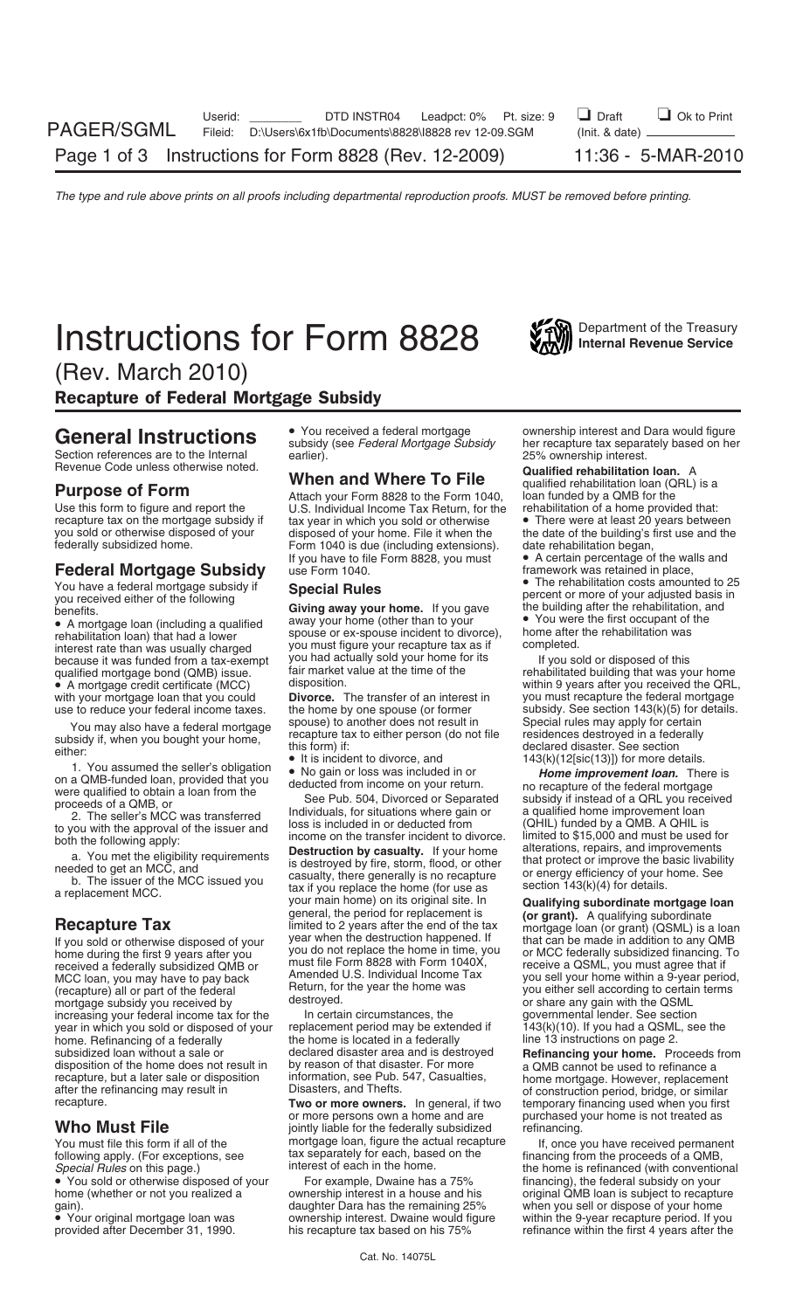# **Instructions for Form 8828** Internal Revenue Service

(Rev. March 2010)

Recapture of Federal Mortgage Subsidy

Section references are to the Internal earlier).<br>Revenue Code unless otherwise noted. **25% ownership interest.**<br>Qualified rehabilitation

recapture tax on the mortgage subsidy if tax year in which you sold or otherwise<br>you sold or otherwise disposed of your disposed of your home. File it when the

## **Federal Mortgage Subsidy** use Form 1040.<br>Vou have a federal mortgage subsidy if **Creation Dules Creation Cost Community** The rehabilitation costs amounted to 25

You have a federal mortgage subsidy if<br>
you received either of the following<br>
benefits.<br>
Special Rules<br>
Giving away your home. If you gave the building after the rehabilitation, and<br>
benefits.

interest rate than was usually charged you must figure your recapture tax as in completed.<br>
because it was funded from a tax-exempt you had actually sold your home for its If you sold or disposed of this<br>
qualified mortgag

MCC loan, you may have to pay back Amended U.S. Individual Income I<br>(recapture) all or part of the federal Return, for the year the home was mortgage subsidy you received by destroyed.<br>
increasing your federal income tax for the ln certain circumstances, the spovernmental lender. See section increasing your federal income tax for the In certain circumstances, the governmental lender. See section<br>year in which you sold or disposed of your replacement period may be extended if 143(k)(10). If you had a QSML, see year in which you sold or disposed of your replacement period may be extended if 143(k)(10). If you had a QSML<br>13 home. Refinancing of a federally the home is located in a federally line 13 instructions on page 2. home. Refinancing of a federally the home is located in a federally subsidized loan without a sale or declared disaster area and is destroyed disposition of the home does not result in by reason of that disaster. For more recapture, but a later sale or disposition information, see Pub. 547, Casualties, recapture, but a later sale or disposition information, see Pub. 547, Casualties, home mortgage. However, replacement after the refinancing may result in Disasters, and Thefts. or similar recapture. **The interpretion perio** 

• You sold or otherwise disposed of your For example, Dwaine has a 75% home (whether or not you realized a compression interest in a house and his gain). The same of the remaining 25% when you sell or dispose of your home gain).

Use this form to figure and report the U.S. Individual Income Tax Return, for the rehabilitation of a home provided that:<br>
recapture tax on the mortgage subsidy if tax year in which you sold or otherwise • There were at le you sold or otherwise disposed of your disposed of your home. File it when the the date of the building's first use and the federally subsidized home.<br>Form 1040 is due (including extensions). date rehabilitation began, Form 1040 is due (including extensions).<br>If you have to file Form 8828, you must

• A mortgage loan (including a qualified away your home (other than to your • You were the first occupant of the spouse or ex-spouse incident to divorce), home after the rehabilitation was unterest rate than was usually ch

use to reduce your federal income taxes. the home by one spouse (or former subsidy. See section 143(k)(5) for d<br>Spouse) to another does not result in Special rules may apply for certain

Heturn, for the year the home was you either sell according to certain terms<br>destroyed. destroyed

**Two or more owners.** In general, if two temporary financing used when you first or more persons own a home and are purchased your home is not treated as **Who Must File** jointly liable for the federally subsidized<br>You must file this form if all of the mortgage loan, figure the actual recapture You must file this form if all of the Internation of the If, once you have received permanent mortgage loan, figure the actual recapture If, once you have received permanent following apply (For exceptions, see Internative following apply. (For exceptions, see fax separately for each, based on the financing from the proceeds of a QMB,<br>Special Rules on this page.) interest of each in the home. The home is refinanced (with convention

General Instructions  $\bullet$  You received a federal mortgage ownership interest and Dara would figure<br>
subsidy (see *Federal Mortgage Subsidy* her recapture tax separately based on her

Hevenue Code unless otherwise noted.<br> **Purpose of Form**<br>
Use this form to figure and report the U.S. Individual Income Tax Return, for the rehabilitation of a home provided that:<br>
Use this form to figure and report the U.S

• A certain percentage of the walls and framework was retained in place,

qualified mortgage bond (QMB) issue. Fair market value at the time of the rehabilitated building that was your home<br>• A mortgage credit certificate (MCC) disposition. The reference within 9 years after you received the QRL disposition.<br>**Divorce.** The transfer of an interest in you must recapture the federal mortgage with your mortgage loan that you could **Divorce.** The transfer of an interest in you must recapture the federal mortgage use to reduce your federal income taxes. the home by one spouse (or former subsidy. See section 143(k

You may also have a federal mortgage<br>
side space space is a conter does not result in<br>
such the residences destroyed in a federally<br>
declared disaster. See section<br>
either.<br>
1. You assumed the seller's obligation<br>  $\bullet \bullet \bullet$ 

If you sold or otherwise disposed of your<br>
lear when the destruction happened. If<br>
that can be made in addition to any QMB<br>
home during the first 9 years after you<br>
you do not replace the home in time, you<br>
must file Form

declared disaster area and is destroyed **Refinancing your home.** Proceeds from<br>by reason of that disaster. For more and MB cannot be used to refinance a purchased your home is not treated as refinancing.

*Special Crecial In the home.* The home is refinanced (with conventional For example, Dwaine has a 75% financing), the federal subsidy on your original QMB loan is subject to recapture • Your original mortgage loan was ownership interest. Dwaine would figure within the 9-year recapture period. If you<br>provided after December 31, 1990. his recapture tax based on his 75% refinance within the first 4 years a refinance within the first 4 years after the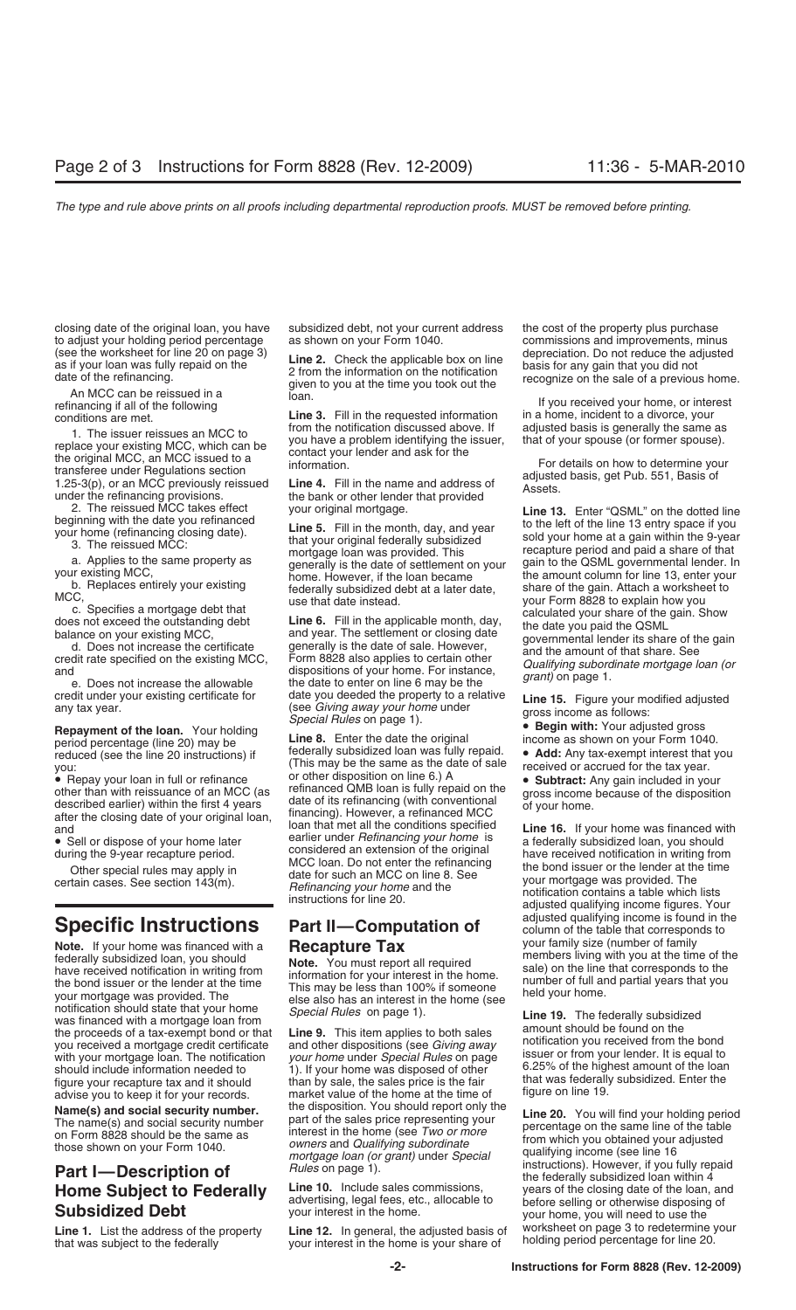closing date of the original loan, you have subsidized debt, not your current address the cost of the property plus purchase to adjust your holding period percentage as shown on your Form 1040. commissions and improvements, minus (see the worksheet for line 20 on page 3) the contract the conditionistic developments. The conditional state of the

1. The issuer reissues an MCC to<br>
replace your existing MCC, which can be<br>
the original MCC, an MCC issued to a<br>
transferee under Regulations section<br>
1.25-3(p), or an MCC previously reissued<br>
the bank or other lender that

**Repayment of the loan.** Your holding<br>
period percentage (line 20) may be **Line 8.** Enter the date the original income as shown on your Form 1040.<br>
reduced (see the line 20 instructions) if federally subsidized loan was fu

**Note.** If your home was financed with a<br>federally subsidized loan, you should<br>have received notification in writing from<br>the bond information for your interest in the home.<br>your mortgage was provided. The<br>your mortgage wa should include information needed to the sales price is the fair that was federally subsidized. Enter the figure your recapture tax and it should than by sale, the sales price is the fair that was federally subsidized. Ent advise you to keep it for your records.

(see the worksheet for line 20 on page 3)<br>
as if your loan was fully repaid on the<br>
date of the refinancing.<br>
An MCC can be reissued in a<br>
refinancing if all of the following<br>
conditions are met.<br>
Line 3. Fill in the reque

credit under your existing certificate for date you deeded the property to a relative<br>any tax year. (see *Giving away your home* under gross income as follows:<br>**Repayment of the loan.** Your holding the **Property of the sta** 

reduced (see the line 20 instructions) if federally subsidized loan was fully repaid. • **Add:** Any tax-exempt interest that you you:<br>you:  $\frac{1}{2}$  and  $\frac{1}{2}$  and  $\frac{1}{2}$  and  $\frac{1}{2}$  are the same is a file of sale i you:  $\frac{1}{2}$ <br>
you:  $\frac{1}{2}$  Repay your loan in full or refinance or other disposition on line 6.) A • Repay your loan in full or refinance<br>or other disposition on line 6.) A<br>other than with reissuance of an MCC (as<br>described earlier) within the first 4 years date of its refinancing (with conventional<br>after the closing da

**Name(s) and social security number.** The hame(s) and social security number the disposition. You should report only the<br>
The name(s) and social security number bath of the sales price representing your<br>
on Form 8828 shoul

Line 1. List the address of the property Line 12. In general, the adjusted basis of worksheet on page 3 to redetermine your that was subject to the federally your interest in the home is your share of holding period percen

2. The reissued MCC takes effect your original mortgage.<br>
Use 5. Fill in the month, day, and year to the dotted line<br>
byour home (refinancing closing date).<br>
The reissued MCC:<br>
3. The reissued MCC:<br>
a Applies to the and yo

and loan that met all the conditions specified **Line 16.** If your home was financed with earlier under *Refinancing your home* is • Sell or dispose of your home later a federally subsidized loan, you should considered an extension of the original during the 9-year recapture period. have received notification in writing from MCC loan. Do not enter the refinancing Other special rules may apply in the bond issuer or the lender at the time date for such an MCC on line 8. See certain cases. See section 143(m). your mortgage was provided. The *Refinancing your home* and the notification contains a table which lists instructions for line 20. adjusted qualifying income figures. Your **Specific Instructions Part II—Computation of** adjusted qualifying income is found in the **Specific Instructions Part II—Computation of** column of the table that corresponds to **Note** If your family size (number of fam

*mortgage loan (or grant)* under *Special* qualitying income (see line 16<br>**Part I—Description of** *Rules* on page 1).<br>**Home Subject to Federally Line 10.** Include sales commissions, vears of the closing date of the loan, a **Home Subject to Federally** Line 10. Include sales commissions, years of the closing date of the loan, and advertising, legal fees, etc., allocable to before selling or otherwise disposing of your interest in the home.<br>Sub